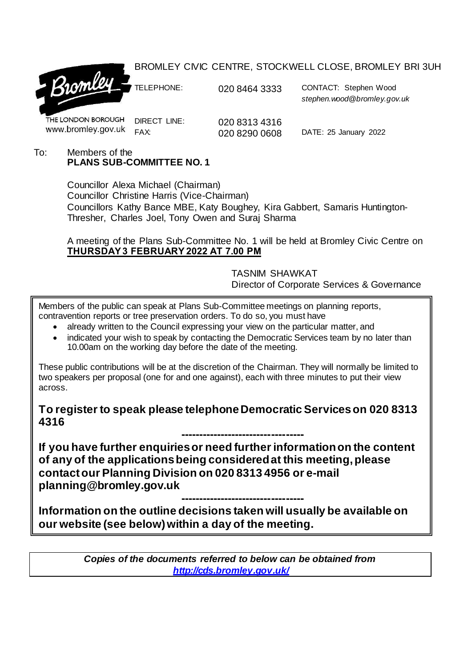### BROMLEY CIVIC CENTRE, STOCKWELL CLOSE, BROMLEY BRI 3UH



TELEPHONE: 020 8464 3333 CONTACT: Stephen Wood *stephen.wood@bromley.gov.uk*

THE LONDON BOROUGH www.bromley.gov.uk

DIRECT LINE: 020 8313 4316<br>FAX: 020 8290 0608

020 8290 0608 DATE: 25 January 2022

#### To: Members of the **PLANS SUB-COMMITTEE NO. 1**

Councillor Alexa Michael (Chairman) Councillor Christine Harris (Vice-Chairman) Councillors Kathy Bance MBE, Katy Boughey, Kira Gabbert, Samaris Huntington-Thresher, Charles Joel, Tony Owen and Suraj Sharma

A meeting of the Plans Sub-Committee No. 1 will be held at Bromley Civic Centre on **THURSDAY 3 FEBRUARY 2022 AT 7.00 PM**

> TASNIM SHAWKAT Director of Corporate Services & Governance

Members of the public can speak at Plans Sub-Committee meetings on planning reports, contravention reports or tree preservation orders. To do so, you must have

- already written to the Council expressing your view on the particular matter, and
- indicated your wish to speak by contacting the Democratic Services team by no later than 10.00am on the working day before the date of the meeting.

These public contributions will be at the discretion of the Chairman. They will normally be limited to two speakers per proposal (one for and one against), each with three minutes to put their view across.

**To register to speak please telephone Democratic Services on 020 8313 4316**

**---------------------------------- If you have further enquiries or need further information on the content of any of the applications being considered at this meeting, please contact our Planning Division on 020 8313 4956 or e-mail planning@bromley.gov.uk**

**---------------------------------- Information on the outline decisions taken will usually be available on our website (see below) within a day of the meeting.**

> *Copies of the documents referred to below can be obtained from <http://cds.bromley.gov.uk/>*